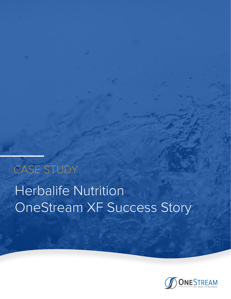# Herbalife Nutrition OneStream XF Success Story CASE STUDY

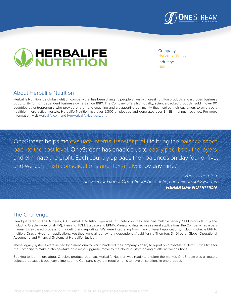



Company: Herbalife Nutrition

Industry: **Nutrition** 

#### About Herbalife Nutrition

Herbalife Nutrition is a global nutrition company that has been changing people's lives with great nutrition products and a proven business opportunity for its independent business owners since 1980. The Company offers high-quality, science-backed products, sold in over 90 countries by entrepreneurs who provide one-on-one coaching and a supportive community that inspires their customers to embrace a healthier, more active lifestyle. Herbalife Nutrition has over 9,300 employees and generates over \$4.8B in annual revenue. For more information, visit [Herbalife.com](www.herbalife.com) and [IAmHerbalifeNutrition.com.](IAmHerbalifeNutrition.com)

"OneStream helps me evaluate internal transfer profit to bring the balance sheet back to the cost level. OneStream has enabled us to easily peel back the layers and eliminate the profit. Each country uploads their balances on day four or five, and we can finish consolidations and flux analysis by day nine."

> *— Vanita Thornton Sr. Director Global Operational Accounting and Financial Systems*  **HERBALIFE NUTRITION**

# The Challenge

Headquartered in Los Angeles, CA, Herbalife Nutrition operates in ninety countries and had multiple legacy CPM products in place including Oracle Hyperion (HFM), Planning, FDM, Essbase and EPMA. Managing data across several applications, the Company had a very manual Excel-based process for modeling and reporting. "We were integrating from many different applications, including Oracle ERP to multiple Oracle Hyperion applications, yet they were all behaving independently," said Vanita Thornton, Sr. Director Global Operational Accounting and Financial Systems at Herbalife Nutrition.

These legacy systems were limited by dimensionality which hindered the Company's ability to report on project-level detail. It was time for the Company to make a choice—take on a major upgrade, move to the cloud, or start looking at alternative solutions.

Seeking to learn more about Oracle's product roadmap, Herbalife Nutrition was ready to explore the market. OneStream was ultimately selected because it best complimented the Company's system requirements to have all solutions in one product.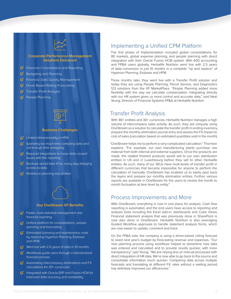#### **Corporate Performance Management Solutions Delivered**

 $\mathcal G$  Financial Consolidation and Reporting

- $\heartsuit$  Budgeting and Planning
- $\mathcal G$  Financial Data Quality Management
- Driver-Based Rolling Forecasting
- $\sigma$  Transfer Profit Analysis
- $\mathcal O$  People Planning



#### **Business Challenges**

- $\heartsuit$  Limited dimensionality in HFM
- $\oslash$  Spending too much time compiling data and not enough time analyzing
- $C_1$  Required integrations to move data caused issues with the reporting
- $\mathcal G$  Backups would take 4 hrs. every day delaying access to data
- $\heartsuit$  Workforce planning was limited



#### **Key OneStream XF Benefits**

- $\mathcal G$  Faster, more detailed management and financial reporting
- $G$  Unified platform for consolidations, people planning and forecasting
- $\mathcal G$  Eliminated licensing and maintenance costs by replacing Hyperion Planning, Essbase and HFM
- $\heartsuit$  Went live with 2.5 years of data in 10 months
- $\mathcal G$  Workflows guide users through a standardized forecast process
- $\overline{\mathcal{G}}$  Automating intercompany eliminations and FX calculations for 30+ currencies
- $\mathcal O$  Integrated with Oracle ERP and Fusion HCM for improved data accuracy and availability

### Implementing a Unified CPM Platform

The first phase of implementation included global consolidations for 80 markets, global expense planning, and people planning with direct integration with their Oracle Fusion HCM system. With 600 accounting and FP&A users globally, Herbalife Nutrition went live with 2.5 years of data conversion in just 10 months in a complete "rip and replace" of Hyperion Planning, Essbase and HFM.

Three months later, they went live with a Transfer Profit solution and today they are using People Planning, Parcel Service, and Diagnostics 123 solutions from the XF MarketPlace. "People Planning added more flexibility with the way we calculate compensation. Integrating directly with our HR system gives us more control and accurate data," said Neal Yeung, Director of Financial Systems FP&A at Herbalife Nutrition.

#### Transfer Profit Analysis

With 90+ entities and 30+ currencies, Herbalife Nutrition manages a high volume of intercompany sales activity. As such, they are uniquely using OneStream as a solution to calculate the transfer profit in ending inventory, prepare the monthly elimination journal entry and assess the FX impact to cost of sales (calculation based on estimated quantities sold in the month).

"OneStream helps me to perform a very complicated calculation." Thornton explains. "For example, our own manufacturing plants purchase raw material from both internal and external suppliers. Once the products are made, the related finished products would sell to our own distribution entities in US and in Luxembourg before they sell to other Herbalife entities. As such, many of our SKUs have multi-levels of transfer profit in different currencies that became impossible for anyone to perform the calculation of manually. OneStream has enabled us to easily peel back the layers and prepare our monthly elimination entries. Further, various reports are available in OneStream for the users to review the month to month fluctuation at item level by entity."

#### Process Improvements and More

With OneStream, everything is now in one place for analysis. Cash flow reporting is automated, and the end users have access to reporting and analysis tools including the Excel add-in, dashboards and Cube Views. Financial statement analysis that was previously done in SharePoint is now also done in OneStream. Herbalife Nutrition is also leveraging Guided Workflow approvals to handle statement analysis forms, which are now easier to update, comment and track.

On the FP&A side, the company is using a driver-based rolling forecast to seed next year's budget by forecasting revenue and expenses. "Our new planning process using workflows helped to streamline how data was entered and calculated and to provide results quicker, with more transparency," said Yeung. "We are relying less on manual processes with direct integration of HR data. We're now able to go back to the source and consolidate information much quicker. Comparing data across multiple forecasts and translating at different FX rates without a waiting period, has definitely improved our efficiencies."